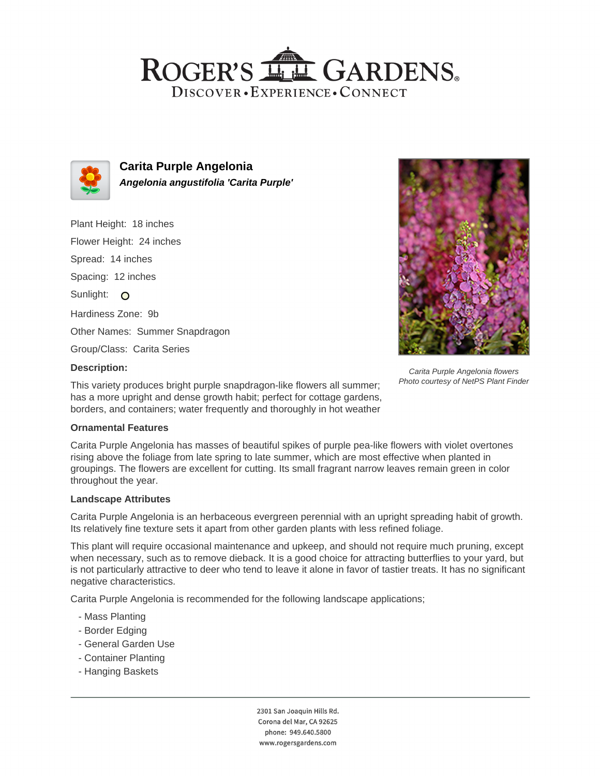## ROGER'S LL GARDENS. DISCOVER · EXPERIENCE · CONNECT



**Carita Purple Angelonia Angelonia angustifolia 'Carita Purple'**

Plant Height: 18 inches Flower Height: 24 inches Spread: 14 inches Spacing: 12 inches Sunlight: O Hardiness Zone: 9b Other Names: Summer Snapdragon Group/Class: Carita Series



Carita Purple Angelonia flowers Photo courtesy of NetPS Plant Finder

### **Description:**

This variety produces bright purple snapdragon-like flowers all summer; has a more upright and dense growth habit; perfect for cottage gardens, borders, and containers; water frequently and thoroughly in hot weather

### **Ornamental Features**

Carita Purple Angelonia has masses of beautiful spikes of purple pea-like flowers with violet overtones rising above the foliage from late spring to late summer, which are most effective when planted in groupings. The flowers are excellent for cutting. Its small fragrant narrow leaves remain green in color throughout the year.

### **Landscape Attributes**

Carita Purple Angelonia is an herbaceous evergreen perennial with an upright spreading habit of growth. Its relatively fine texture sets it apart from other garden plants with less refined foliage.

This plant will require occasional maintenance and upkeep, and should not require much pruning, except when necessary, such as to remove dieback. It is a good choice for attracting butterflies to your yard, but is not particularly attractive to deer who tend to leave it alone in favor of tastier treats. It has no significant negative characteristics.

Carita Purple Angelonia is recommended for the following landscape applications;

- Mass Planting
- Border Edging
- General Garden Use
- Container Planting
- Hanging Baskets

2301 San Joaquin Hills Rd. Corona del Mar, CA 92625 phone: 949.640.5800 www.rogersgardens.com